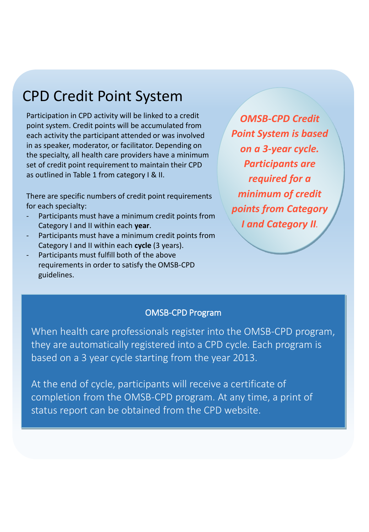### CPD Credit Point System

Participation in CPD activity will be linked to a credit point system. Credit points will be accumulated from each activity the participant attended or was involved in as speaker, moderator, or facilitator. Depending on the specialty, all health care providers have a minimum set of credit point requirement to maintain their CPD as outlined in Table 1 from category I & II.

There are specific numbers of credit point requirements for each specialty:

- Participants must have a minimum credit points from Category I and II within each **year**.
- Participants must have a minimum credit points from Category I and II within each **cycle** (3 years).
- Participants must fulfill both of the above requirements in order to satisfy the OMSB-CPD guidelines.

*OMSB-CPD Credit Point System is based on a 3-year cycle. Participants are required for a minimum of credit points from Category I and Category II.*

#### OMSB-CPD Program

When health care professionals register into the OMSB-CPD program, they are automatically registered into a CPD cycle. Each program is based on a 3 year cycle starting from the year 2013.

At the end of cycle, participants will receive a certificate of completion from the OMSB-CPD program. At any time, a print of status report can be obtained from the CPD website.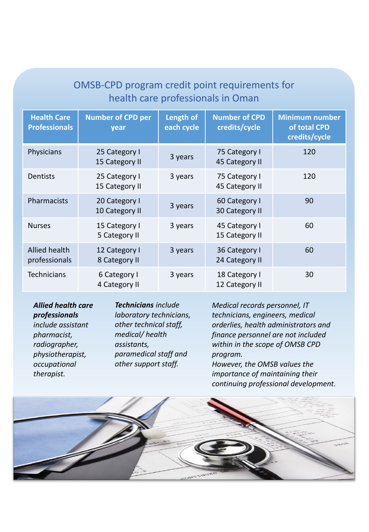### OMSB-CPD program credit point requirements for health care professionals in Oman

| <b>Health Care</b><br><b>Professionals</b> | <b>Number of CPD per</b><br>year | Length of<br>each cycle | <b>Number of CPD</b><br>credits/cycle | <b>Minimum number</b><br>of total CPD<br>credits/cycle |
|--------------------------------------------|----------------------------------|-------------------------|---------------------------------------|--------------------------------------------------------|
| Physicians                                 | 25 Category I<br>15 Category II  | 3 years                 | 75 Category I<br>45 Category II       | 120                                                    |
| Dentists                                   | 25 Category I<br>15 Category II  | 3 years                 | 75 Category I<br>45 Category II       | 120                                                    |
| Pharmacists                                | 20 Category I<br>10 Category II  | 3 years                 | 60 Category I<br>30 Category II       | 90                                                     |
| <b>Nurses</b>                              | 15 Category I<br>5 Category II   | 3 years                 | 45 Category I<br>15 Category II       | 60                                                     |
| Allied health<br>professionals             | 12 Category I<br>8 Category II   | 3 years                 | 36 Category I<br>24 Category II       | 60                                                     |
| Technicians                                | 6 Category I<br>4 Category II    | 3 years                 | 18 Category I<br>12 Category II       | 30                                                     |

*Allied health care professionals include assistant pharmacist, radiographer, physiotherapist, occupational therapist.*

*Technicians include laboratory technicians, other technical staff, medical/ health assistants, paramedical staff and other support staff.*

*Medical records personnel, IT technicians, engineers, medical orderlies, health administrators and finance personnel are not included within in the scope of OMSB CPD program. However, the OMSB values the* 

*importance of maintaining their continuing professional development.*

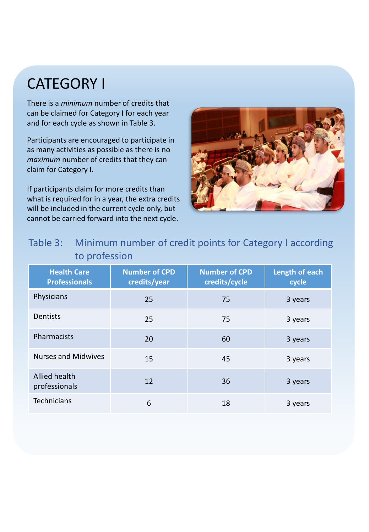# CATEGORY I

There is a *minimum* number of credits that can be claimed for Category I for each year and for each cycle as shown in Table 3.

Participants are encouraged to participate in as many activities as possible as there is no *maximum* number of credits that they can claim for Category I.

If participants claim for more credits than what is required for in a year, the extra credits will be included in the current cycle only, but cannot be carried forward into the next cycle.



### Table 3: Minimum number of credit points for Category I according to profession

| <b>Health Care</b><br><b>Professionals</b> | <b>Number of CPD</b><br>credits/year | <b>Number of CPD</b><br>credits/cycle | Length of each<br>cycle |
|--------------------------------------------|--------------------------------------|---------------------------------------|-------------------------|
| Physicians                                 | 25                                   | 75                                    | 3 years                 |
| Dentists                                   | 25                                   | 75                                    | 3 years                 |
| Pharmacists                                | 20                                   | 60                                    | 3 years                 |
| <b>Nurses and Midwives</b>                 | 15                                   | 45                                    | 3 years                 |
| Allied health<br>professionals             | 12                                   | 36                                    | 3 years                 |
| <b>Technicians</b>                         | 6                                    | 18                                    | 3 years                 |